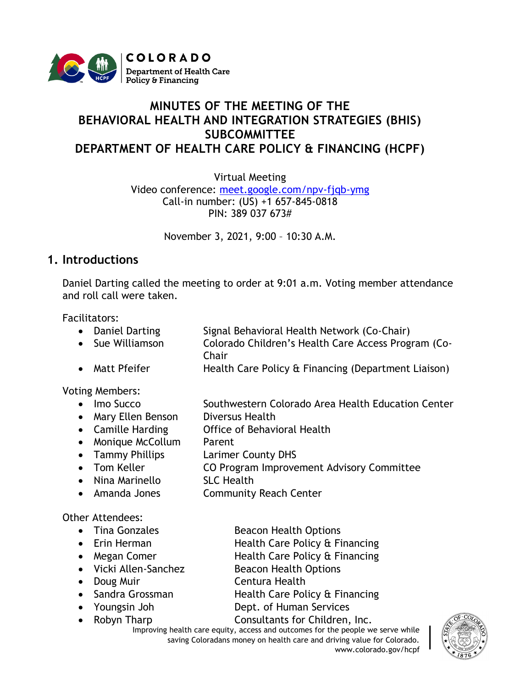

# **MINUTES OF THE MEETING OF THE BEHAVIORAL HEALTH AND INTEGRATION STRATEGIES (BHIS) SUBCOMMITTEE DEPARTMENT OF HEALTH CARE POLICY & FINANCING (HCPF)**

Virtual Meeting

Video conference: [meet.google.com/npv-fjqb-ymg](https://cohcpf.sharepoint.com/sites/HPO/HPSS/ProgramMgmt/Stakeholder%20Engagement/Behavioral%20Health%20and%20Integration%20Strategies/Meetings/October%202021/meet.google.com/npv-fjqb-ymg) Call-in number: (US) +1 657-845-0818 PIN: 389 037 673#

November 3, 2021, 9:00 – 10:30 A.M.

## **1. Introductions**

Daniel Darting called the meeting to order at 9:01 a.m. Voting member attendance and roll call were taken.

Facilitators:

- Daniel Darting Signal Behavioral Health Network (Co-Chair)
- Sue Williamson Colorado Children's Health Care Access Program (Co-**Chair**
- Matt Pfeifer Health Care Policy & Financing (Department Liaison)

Voting Members:

- Imo Succo Southwestern Colorado Area Health Education Center
- Mary Ellen Benson Diversus Health
- Camille Harding Office of Behavioral Health
- Monique McCollum Parent
- Tammy Phillips Larimer County DHS
- Tom Keller **CO Program Improvement Advisory Committee**
- Nina Marinello SLC Health
- Amanda Jones Community Reach Center

### Other Attendees:

- 
- 
- 
- 
- 
- 
- 
- 
- Tina Gonzales Beacon Health Options
- Erin Herman Health Care Policy & Financing
- Megan Comer **Health Care Policy & Financing**
- Vicki Allen-Sanchez Beacon Health Options
- Doug Muir **Centura Health**
- Sandra Grossman **Health Care Policy & Financing**
- Youngsin Joh Dept. of Human Services

• Robyn Tharp Consultants for Children, Inc.

Improving health care equity, access and outcomes for the people we serve while saving Coloradans money on health care and driving value for Colorado. www.colorado.gov/hcpf

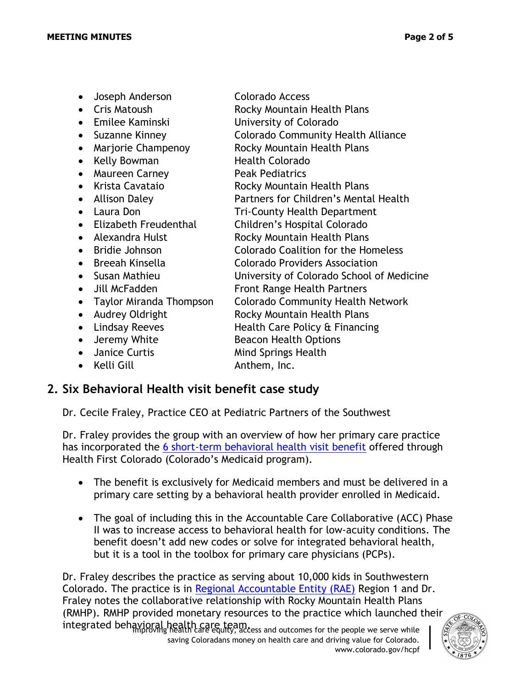- Joseph Anderson Colorado Access • Cris Matoush Rocky Mountain Health Plans • Emilee Kaminski University of Colorado • Suzanne Kinney Colorado Community Health Alliance • Marjorie Champenoy Rocky Mountain Health Plans • Kelly Bowman Health Colorado • Maureen Carney Peak Pediatrics • Krista Cavataio **Rocky Mountain Health Plans** • Allison Daley Partners for Children's Mental Health • Laura Don Tri-County Health Department • Elizabeth Freudenthal Children's Hospital Colorado • Alexandra Hulst Rocky Mountain Health Plans • Bridie Johnson Colorado Coalition for the Homeless • Breeah Kinsella Colorado Providers Association • Susan Mathieu University of Colorado School of Medicine • Jill McFadden **Front Range Health Partners** • Taylor Miranda Thompson Colorado Community Health Network • Audrey Oldright Rocky Mountain Health Plans • Lindsay Reeves Health Care Policy & Financing • Jeremy White Beacon Health Options
	-
	- Kelli Gill **Anthem**, Inc.
	- Janice Curtis Mind Springs Health
- **2. Six Behavioral Health visit benefit case study**

Dr. Cecile Fraley, Practice CEO at Pediatric Partners of the Southwest

Dr. Fraley provides the group with an overview of how her primary care practice has incorporated the [6 short-term behavioral health visit benefit](https://hcpf.colorado.gov/behavioral-ffs) offered through Health First Colorado (Colorado's Medicaid program).

- The benefit is exclusively for Medicaid members and must be delivered in a primary care setting by a behavioral health provider enrolled in Medicaid.
- The goal of including this in the Accountable Care Collaborative (ACC) Phase II was to increase access to behavioral health for low-acuity conditions. The benefit doesn't add new codes or solve for integrated behavioral health, but it is a tool in the toolbox for primary care physicians (PCPs).

integrated behavioral health care team.<br>Integrated behavioral health care equity, access and outcomes for the people we serve while Dr. Fraley describes the practice as serving about 10,000 kids in Southwestern Colorado. The practice is in [Regional Accountable Entity \(RAE\)](https://hcpf.colorado.gov/accphase2) Region 1 and Dr. Fraley notes the collaborative relationship with Rocky Mountain Health Plans (RMHP). RMHP provided monetary resources to the practice which launched their

saving Coloradans money on health care and driving value for Colorado. www.colorado.gov/hcpf



- 
- -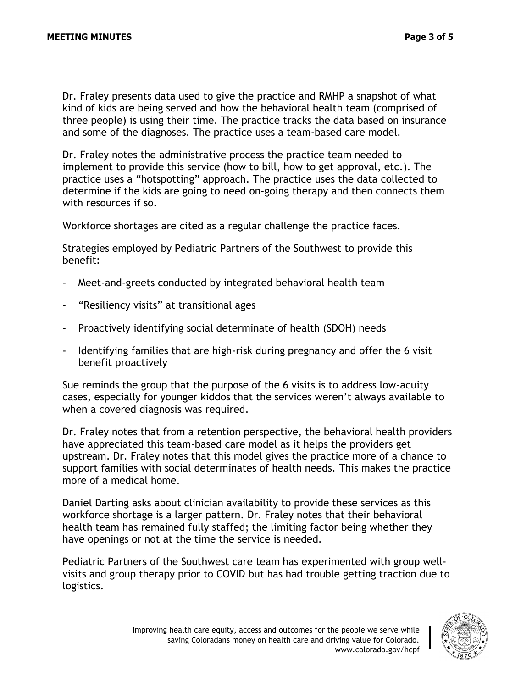Dr. Fraley presents data used to give the practice and RMHP a snapshot of what kind of kids are being served and how the behavioral health team (comprised of three people) is using their time. The practice tracks the data based on insurance and some of the diagnoses. The practice uses a team-based care model.

Dr. Fraley notes the administrative process the practice team needed to implement to provide this service (how to bill, how to get approval, etc.). The practice uses a "hotspotting" approach. The practice uses the data collected to determine if the kids are going to need on-going therapy and then connects them with resources if so.

Workforce shortages are cited as a regular challenge the practice faces.

Strategies employed by Pediatric Partners of the Southwest to provide this benefit:

- Meet-and-greets conducted by integrated behavioral health team
- "Resiliency visits" at transitional ages
- Proactively identifying social determinate of health (SDOH) needs
- Identifying families that are high-risk during pregnancy and offer the 6 visit benefit proactively

Sue reminds the group that the purpose of the 6 visits is to address low-acuity cases, especially for younger kiddos that the services weren't always available to when a covered diagnosis was required.

Dr. Fraley notes that from a retention perspective, the behavioral health providers have appreciated this team-based care model as it helps the providers get upstream. Dr. Fraley notes that this model gives the practice more of a chance to support families with social determinates of health needs. This makes the practice more of a medical home.

Daniel Darting asks about clinician availability to provide these services as this workforce shortage is a larger pattern. Dr. Fraley notes that their behavioral health team has remained fully staffed; the limiting factor being whether they have openings or not at the time the service is needed.

Pediatric Partners of the Southwest care team has experimented with group wellvisits and group therapy prior to COVID but has had trouble getting traction due to logistics.

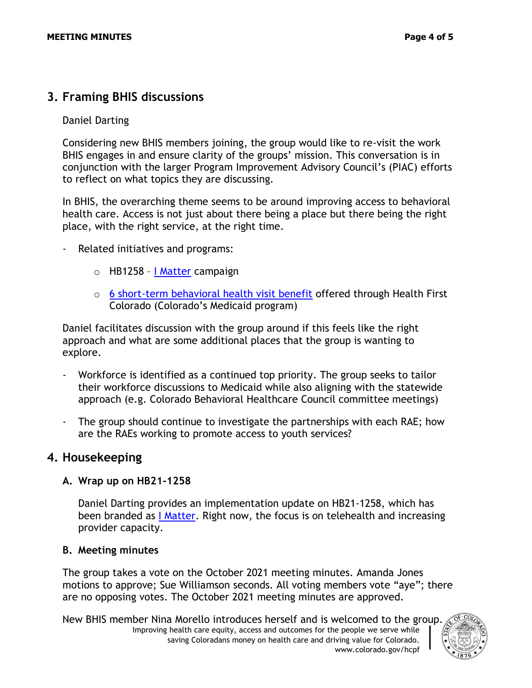# **3. Framing BHIS discussions**

#### Daniel Darting

Considering new BHIS members joining, the group would like to re-visit the work BHIS engages in and ensure clarity of the groups' mission. This conversation is in conjunction with the larger Program Improvement Advisory Council's (PIAC) efforts to reflect on what topics they are discussing.

In BHIS, the overarching theme seems to be around improving access to behavioral health care. Access is not just about there being a place but there being the right place, with the right service, at the right time.

- Related initiatives and programs:
	- o HB1258 [I Matter](https://imattercolorado.org/?utm_source=google&utm_medium=search&utm_campaign=obh_ymh_fy22&utm_content=branded) campaign
	- $\circ$  [6 short-term behavioral health visit benefit](https://hcpf.colorado.gov/behavioral-ffs) offered through Health First Colorado (Colorado's Medicaid program)

Daniel facilitates discussion with the group around if this feels like the right approach and what are some additional places that the group is wanting to explore.

- Workforce is identified as a continued top priority. The group seeks to tailor their workforce discussions to Medicaid while also aligning with the statewide approach (e.g. Colorado Behavioral Healthcare Council committee meetings)
- The group should continue to investigate the partnerships with each RAE; how are the RAEs working to promote access to youth services?

### **4. Housekeeping**

#### **A. Wrap up on HB21-1258**

Daniel Darting provides an implementation update on HB21-1258, which has been branded as [I Matter.](https://imattercolorado.org/?utm_source=google&utm_medium=search&utm_campaign=obh_ymh_fy22&utm_content=branded) Right now, the focus is on telehealth and increasing provider capacity.

#### **B. Meeting minutes**

The group takes a vote on the October 2021 meeting minutes. Amanda Jones motions to approve; Sue Williamson seconds. All voting members vote "aye"; there are no opposing votes. The October 2021 meeting minutes are approved.

Improving health care equity, access and outcomes for the people we serve while saving Coloradans money on health care and driving value for Colorado. www.colorado.gov/hcpf New BHIS member Nina Morello introduces herself and is welcomed to the group.